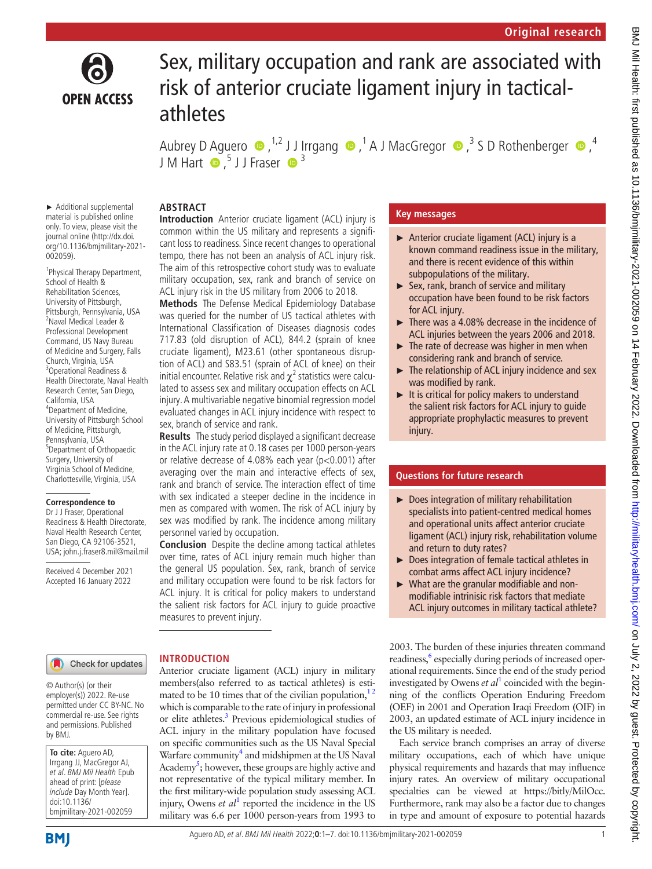

# Sex, military occupation and rank are associated with risk of anterior cruciate ligament injury in tacticalathletes

AubreyD Aguero  $\bullet$  ,<sup>1,2</sup> J J Irrgang  $\bullet$  ,<sup>1</sup> A J MacGregor  $\bullet$  ,<sup>3</sup> S D Rothenberger  $\bullet$  ,<sup>4</sup> J M Hart  $\bigcirc$ ,<sup>5</sup> J J Fraser  $\bigcirc$ <sup>3</sup>

#### ► Additional supplemental material is published online only. To view, please visit the journal online ([http://dx.doi.](http://dx.doi.org/10.1136/bmjmilitary-2021-002059) [org/10.1136/bmjmilitary-2021-](http://dx.doi.org/10.1136/bmjmilitary-2021-002059) [002059](http://dx.doi.org/10.1136/bmjmilitary-2021-002059)).

1 Physical Therapy Department, School of Health & Rehabilitation Sciences, University of Pittsburgh, Pittsburgh, Pennsylvania, USA 2 Naval Medical Leader & Professional Development Command, US Navy Bureau of Medicine and Surgery, Falls Church, Virginia, USA 3 Operational Readiness & Health Directorate, Naval Health Research Center, San Diego, California, USA 4 Department of Medicine, University of Pittsburgh School of Medicine, Pittsburgh, Pennsylvania, USA 5 Department of Orthopaedic Surgery, University of Virginia School of Medicine, Charlottesville, Virginia, USA

#### **Correspondence to**

Dr J J Fraser, Operational Readiness & Health Directorate, Naval Health Research Center, San Diego, CA 92106-3521, USA; john.j.fraser8.mil@mail.mil

Received 4 December 2021 Accepted 16 January 2022

# **ABSTRACT**

**Introduction** Anterior cruciate ligament (ACL) injury is common within the US military and represents a significant loss to readiness. Since recent changes to operational tempo, there has not been an analysis of ACL injury risk. The aim of this retrospective cohort study was to evaluate military occupation, sex, rank and branch of service on ACL injury risk in the US military from 2006 to 2018.

**Methods** The Defense Medical Epidemiology Database was queried for the number of US tactical athletes with International Classification of Diseases diagnosis codes 717.83 (old disruption of ACL), 844.2 (sprain of knee cruciate ligament), M23.61 (other spontaneous disruption of ACL) and S83.51 (sprain of ACL of knee) on their initial encounter. Relative risk and  $\chi^2$  statistics were calculated to assess sex and military occupation effects on ACL injury. A multivariable negative binomial regression model evaluated changes in ACL injury incidence with respect to sex, branch of service and rank.

**Results** The study period displayed a significant decrease in the ACL injury rate at 0.18 cases per 1000 person-years or relative decrease of 4.08% each year (p<0.001) after averaging over the main and interactive effects of sex, rank and branch of service. The interaction effect of time with sex indicated a steeper decline in the incidence in men as compared with women. The risk of ACL injury by sex was modified by rank. The incidence among military personnel varied by occupation.

**Conclusion** Despite the decline among tactical athletes over time, rates of ACL injury remain much higher than the general US population. Sex, rank, branch of service and military occupation were found to be risk factors for ACL injury. It is critical for policy makers to understand the salient risk factors for ACL injury to guide proactive measures to prevent injury.

Anterior cruciate ligament (ACL) injury in military members(also referred to as tactical athletes) is estimated to be 10 times that of the civilian population,  $1<sup>2</sup>$ which is comparable to the rate of injury in professional or elite athletes.<sup>[3](#page-6-1)</sup> Previous epidemiological studies of ACL injury in the military population have focused on specific communities such as the US Naval Special Warfare community<sup>[4](#page-6-2)</sup> and midshipmen at the US Naval Academy<sup>5</sup>; however, these groups are highly active and not representative of the typical military member. In the first military-wide population study assessing ACL injury, Owens  $et \t al<sup>1</sup>$  $et \t al<sup>1</sup>$  $et \t al<sup>1</sup>$  reported the incidence in the US military was 6.6 per 1000 person-years from 1993 to

**INTRODUCTION**

# **Key messages**

- ► Anterior cruciate ligament (ACL) injury is a known command readiness issue in the military, and there is recent evidence of this within subpopulations of the military.
- ► Sex, rank, branch of service and military occupation have been found to be risk factors for ACL injury.
- $\blacktriangleright$  There was a 4.08% decrease in the incidence of ACL injuries between the years 2006 and 2018.
- ► The rate of decrease was higher in men when considering rank and branch of service.
- $\blacktriangleright$  The relationship of ACL injury incidence and sex was modified by rank.
- $\blacktriangleright$  It is critical for policy makers to understand the salient risk factors for ACL injury to guide appropriate prophylactic measures to prevent injury.

# **Questions for future research**

- ► Does integration of military rehabilitation specialists into patient-centred medical homes and operational units affect anterior cruciate ligament (ACL) injury risk, rehabilitation volume and return to duty rates?
- ► Does integration of female tactical athletes in combat arms affect ACL injury incidence?
- What are the granular modifiable and nonmodifiable intrinisic risk factors that mediate ACL injury outcomes in military tactical athlete?

2003. The burden of these injuries threaten command readiness,<sup>6</sup> especially during periods of increased operational requirements. Since the end of the study period investigated by Owens  $et al<sup>1</sup>$  $et al<sup>1</sup>$  $et al<sup>1</sup>$  coincided with the beginning of the conflicts Operation Enduring Freedom (OEF) in 2001 and Operation Iraqi Freedom (OIF) in 2003, an updated estimate of ACL injury incidence in the US military is needed.

Each service branch comprises an array of diverse military occupations, each of which have unique physical requirements and hazards that may influence injury rates. An overview of military occupational specialties can be viewed at [https://bitly/MilOcc.](https://bit.ly/MilOcc) Furthermore, rank may also be a factor due to changes in type and amount of exposure to potential hazards

## Check for updates

© Author(s) (or their employer(s)) 2022. Re-use permitted under CC BY-NC. No commercial re-use. See rights and permissions. Published by BMJ.

**To cite:** Aguero AD, Irrgang JJ, MacGregor AJ, et al. BMJ Mil Health Epub ahead of print: [please include Day Month Year]. doi:10.1136/ bmjmilitary-2021-002059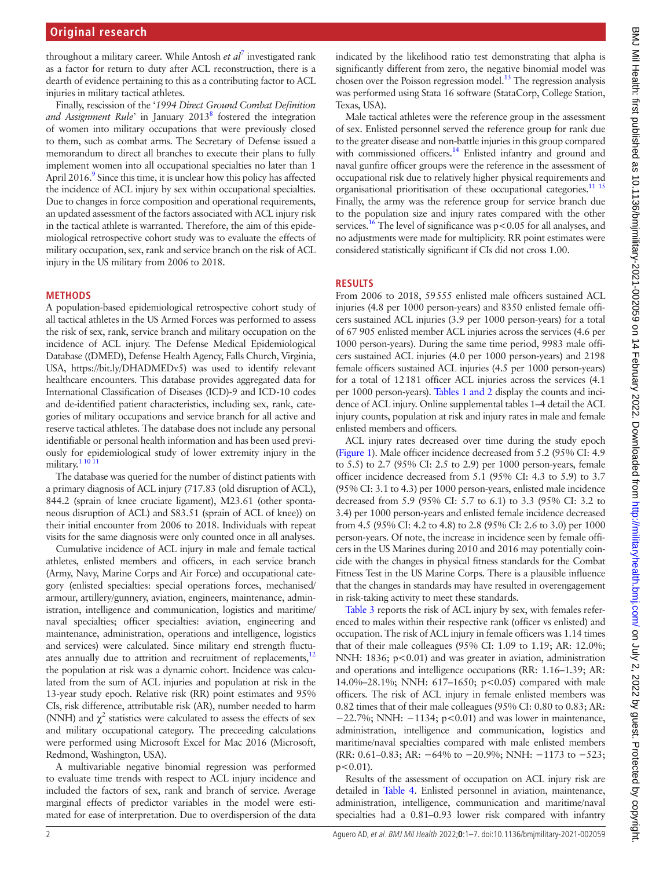throughout a military career. While Antosh *et al*[7](#page-6-5) investigated rank as a factor for return to duty after ACL reconstruction, there is a dearth of evidence pertaining to this as a contributing factor to ACL injuries in military tactical athletes.

Finally, rescission of the '*1994 Direct Ground Combat Definition*  and Assignment Rule' in January 2013<sup>8</sup> fostered the integration of women into military occupations that were previously closed to them, such as combat arms. The Secretary of Defense issued a memorandum to direct all branches to execute their plans to fully implement women into all occupational specialties no later than 1 April 2016.<sup>9</sup> Since this time, it is unclear how this policy has affected the incidence of ACL injury by sex within occupational specialties. Due to changes in force composition and operational requirements, an updated assessment of the factors associated with ACL injury risk in the tactical athlete is warranted. Therefore, the aim of this epidemiological retrospective cohort study was to evaluate the effects of military occupation, sex, rank and service branch on the risk of ACL injury in the US military from 2006 to 2018.

#### **METHODS**

A population-based epidemiological retrospective cohort study of all tactical athletes in the US Armed Forces was performed to assess the risk of sex, rank, service branch and military occupation on the incidence of ACL injury. The Defense Medical Epidemiological Database ((DMED), Defense Health Agency, Falls Church, Virginia, USA, [https://bit.ly/DHADMEDv5\)](http://bit.ly/DHADMEDv5) was used to identify relevant healthcare encounters. This database provides aggregated data for International Classification of Diseases (ICD)-9 and ICD-10 codes and de-identified patient characteristics, including sex, rank, categories of military occupations and service branch for all active and reserve tactical athletes. The database does not include any personal identifiable or personal health information and has been used previously for epidemiological study of lower extremity injury in the military.<sup>[1 10 11](#page-6-0)</sup>

The database was queried for the number of distinct patients with a primary diagnosis of ACL injury (717.83 (old disruption of ACL), 844.2 (sprain of knee cruciate ligament), M23.61 (other spontaneous disruption of ACL) and S83.51 (sprain of ACL of knee)) on their initial encounter from 2006 to 2018. Individuals with repeat visits for the same diagnosis were only counted once in all analyses.

Cumulative incidence of ACL injury in male and female tactical athletes, enlisted members and officers, in each service branch (Army, Navy, Marine Corps and Air Force) and occupational category (enlisted specialties: special operations forces, mechanised/ armour, artillery/gunnery, aviation, engineers, maintenance, administration, intelligence and communication, logistics and maritime/ naval specialties; officer specialties: aviation, engineering and maintenance, administration, operations and intelligence, logistics and services) were calculated. Since military end strength fluctuates annually due to attrition and recruitment of replacements, $12$ the population at risk was a dynamic cohort. Incidence was calculated from the sum of ACL injuries and population at risk in the 13-year study epoch. Relative risk (RR) point estimates and 95% CIs, risk difference, attributable risk (AR), number needed to harm (NNH) and  $\chi^2$  statistics were calculated to assess the effects of sex and military occupational category. The preceeding calculations were performed using Microsoft Excel for Mac 2016 (Microsoft, Redmond, Washington, USA).

A multivariable negative binomial regression was performed to evaluate time trends with respect to ACL injury incidence and included the factors of sex, rank and branch of service. Average marginal effects of predictor variables in the model were estimated for ease of interpretation. Due to overdispersion of the data

indicated by the likelihood ratio test demonstrating that alpha is significantly different from zero, the negative binomial model was chosen over the Poisson regression model.<sup>13</sup> The regression analysis was performed using Stata 16 software (StataCorp, College Station, Texas, USA).

Male tactical athletes were the reference group in the assessment of sex. Enlisted personnel served the reference group for rank due to the greater disease and non-battle injuries in this group compared with commissioned officers.<sup>14</sup> Enlisted infantry and ground and naval gunfire officer groups were the reference in the assessment of occupational risk due to relatively higher physical requirements and organisational prioritisation of these occupational categories.<sup>11</sup> <sup>15</sup> Finally, the army was the reference group for service branch due to the population size and injury rates compared with the other services.<sup>[16](#page-6-12)</sup> The level of significance was  $p < 0.05$  for all analyses, and no adjustments were made for multiplicity. RR point estimates were considered statistically significant if CIs did not cross 1.00.

#### **RESULTS**

From 2006 to 2018, 59555 enlisted male officers sustained ACL injuries (4.8 per 1000 person-years) and 8350 enlisted female officers sustained ACL injuries (3.9 per 1000 person-years) for a total of 67 905 enlisted member ACL injuries across the services (4.6 per 1000 person-years). During the same time period, 9983 male officers sustained ACL injuries (4.0 per 1000 person-years) and 2198 female officers sustained ACL injuries (4.5 per 1000 person-years) for a total of 12181 officer ACL injuries across the services (4.1 per 1000 person-years). Tables [1 and 2](#page-2-0) display the counts and incidence of ACL injury. [Online supplemental tables 1–4](https://dx.doi.org/10.1136/bmjmilitary-2021-002059) detail the ACL injury counts, population at risk and injury rates in male and female enlisted members and officers.

ACL injury rates decreased over time during the study epoch [\(Figure](#page-3-0) 1). Male officer incidence decreased from 5.2 (95% CI: 4.9 to 5.5) to 2.7 (95% CI: 2.5 to 2.9) per 1000 person-years, female officer incidence decreased from 5.1 (95% CI: 4.3 to 5.9) to 3.7 (95% CI: 3.1 to 4.3) per 1000 person-years, enlisted male incidence decreased from 5.9 (95% CI: 5.7 to 6.1) to 3.3 (95% CI: 3.2 to 3.4) per 1000 person-years and enlisted female incidence decreased from 4.5 (95% CI: 4.2 to 4.8) to 2.8 (95% CI: 2.6 to 3.0) per 1000 person-years. Of note, the increase in incidence seen by female officers in the US Marines during 2010 and 2016 may potentially coincide with the changes in physical fitness standards for the Combat Fitness Test in the US Marine Corps. There is a plausible influence that the changes in standards may have resulted in overengagement in risk-taking activity to meet these standards.

[Table](#page-4-0) 3 reports the risk of ACL injury by sex, with females referenced to males within their respective rank (officer vs enlisted) and occupation. The risk of ACL injury in female officers was 1.14 times that of their male colleagues (95% CI: 1.09 to 1.19; AR: 12.0%; NNH: 1836; p<0.01) and was greater in aviation, administration and operations and intelligence occupations (RR: 1.16–1.39; AR: 14.0%–28.1%; NNH: 617–1650; p<0.05) compared with male officers. The risk of ACL injury in female enlisted members was 0.82 times that of their male colleagues (95% CI: 0.80 to 0.83; AR: −22.7%; NNH: −1134; p<0.01) and was lower in maintenance, administration, intelligence and communication, logistics and maritime/naval specialties compared with male enlisted members (RR: 0.61–0.83; AR: −64% to −20.9%; NNH: −1173 to −523;  $p < 0.01$ ).

Results of the assessment of occupation on ACL injury risk are detailed in [Table](#page-4-1) 4. Enlisted personnel in aviation, maintenance, administration, intelligence, communication and maritime/naval specialties had a 0.81–0.93 lower risk compared with infantry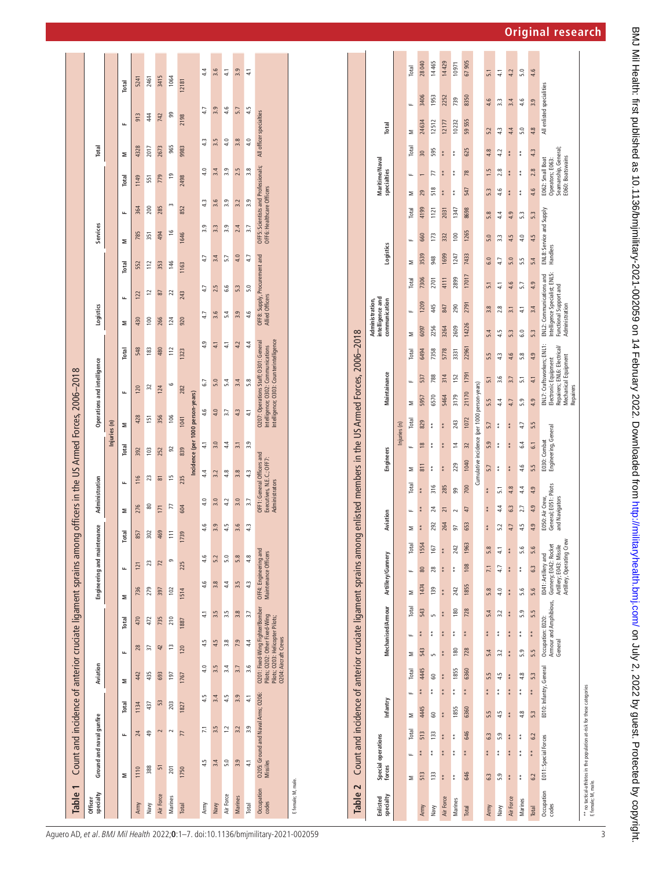| Table 1              | Count and incidence of anterior cruciate ligament sprains amor |                                    |       |                      |                                                                    |                                 |                                               |                             |          | ng officers in the US Armed Forces, 2006-2018                             |                            |                  |                                   |                                                                                                                        |               |                 |                               |          |                           |                                     |       |                         |               |
|----------------------|----------------------------------------------------------------|------------------------------------|-------|----------------------|--------------------------------------------------------------------|---------------------------------|-----------------------------------------------|-----------------------------|----------|---------------------------------------------------------------------------|----------------------------|------------------|-----------------------------------|------------------------------------------------------------------------------------------------------------------------|---------------|-----------------|-------------------------------|----------|---------------------------|-------------------------------------|-------|-------------------------|---------------|
| specialty<br>Officer |                                                                | Ground and naval qunfire           |       | Aviation             |                                                                    |                                 |                                               | Engineering and maintenance |          | Administration                                                            |                            |                  |                                   | Operations and intelligence                                                                                            |               | Logistics       |                               | Services |                           |                                     | Total |                         |               |
|                      |                                                                |                                    |       |                      |                                                                    |                                 |                                               |                             |          |                                                                           |                            | Injuries (n)     |                                   |                                                                                                                        |               |                 |                               |          |                           |                                     |       |                         |               |
|                      | Σ                                                              | щ                                  | Total | Σ                    | щ                                                                  | Total                           | Σ                                             | щ                           | Total    | щ<br>Σ                                                                    |                            | Σ<br>Total       |                                   | щ                                                                                                                      | <b>Total</b>  | щ<br>Σ          | <b>Total</b>                  | Σ        | щ                         | Total                               | Σ     | щ                       | Total         |
| Army                 | 1110                                                           | 24                                 | 1134  | 442                  | 28                                                                 | 470                             | 736                                           | 121                         | 857      | 276                                                                       | 392<br>116                 |                  | 428                               | 120                                                                                                                    | 548           | 122<br>430      | 552                           | 785      | 364                       | 1149                                | 4328  | 913                     | 5241          |
| Navy                 | 388                                                            | \$                                 | 437   | 435                  | 37                                                                 | 472                             | 279                                           | 23                          | 302      | 80                                                                        | 23                         | 103              | 151                               | 32                                                                                                                     | 183           | 100             | 112<br>$\overline{c}$         | 351      | 200                       | 551                                 | 2017  | 44                      | 2461          |
| Air Force            | 51                                                             | 2                                  | 53    | 693                  | 42                                                                 | 735                             | 397                                           | $\overline{2}$              | 469      | 171                                                                       | 252<br>$\overline{\infty}$ |                  | 356                               | 124                                                                                                                    | 480           | 266             | 353<br>58                     | 494      | 285                       | 779                                 | 2673  | 742                     | 3415          |
| Marines              | 201                                                            | $\sim$                             | 203   | 197                  | 13                                                                 | 210                             | 102                                           | ō                           | $\equiv$ | 77                                                                        | $\frac{5}{2}$              | 92               | $\frac{8}{2}$                     | م                                                                                                                      | 112           | 124             | 146<br>22                     |          | m<br>$\frac{6}{1}$        | $\overline{9}$                      | 965   | ஜ                       | 1064          |
| Total                | 1750                                                           | 77                                 | 1827  | 1767                 | 120                                                                | 1887                            | 1514                                          | 225                         | 1739     | 604                                                                       | 235                        | 839              | 1041                              | 282                                                                                                                    | 1323          | 243<br>920      | 1163                          | 1646     | 852                       | 2498                                | 9983  | 2198                    | 12181         |
|                      |                                                                |                                    |       |                      |                                                                    |                                 |                                               |                             |          |                                                                           |                            |                  | Incidence (per 1000 person-years) |                                                                                                                        |               |                 |                               |          |                           |                                     |       |                         |               |
| Army                 | 4.5                                                            | $\overline{z}$                     | 4.5   | 4.0                  | 4.5                                                                | $\frac{1}{4}$                   | 4.6                                           | 4.6                         | 4.6      | 4.0                                                                       | 4.4                        | $\frac{1}{4}$    | 4.6                               | 6.7                                                                                                                    | 4.9           | 4.7             | 4.7                           | 4.7      | 3.9                       | 4.0<br>43                           | 4.3   | 4.7                     | 4.4           |
| Navy                 | 3.4                                                            | 3.5                                | 3.4   | 3.5                  | 4.5                                                                | 3.5                             | 3.8                                           | 5.2                         | 3.9      | 3.0                                                                       | 3.2                        | 3.0              | 4.0                               | 5.0                                                                                                                    | 41            | 3.6             | 2.5                           | 3.4      | 3.3                       | 3.4<br>3.6                          | 3.5   | 3.9                     | 3.6           |
| Air Force            | 5.0                                                            | $\ddot{c}$                         | 4.5   | 3.4                  | 3.8                                                                | 3.5                             | $4.4\,$                                       | 5.0                         | 4.5      | 4.2                                                                       | 4.8                        | 4.4              | 3.7                               | 5.4                                                                                                                    | $\frac{4}{1}$ | 5.4             | 6.6                           | 5.7      | 3.9                       | 3.9<br>3.9                          | 4.0   | 4.6                     | 41            |
| <b>Marines</b>       | 3.9                                                            | 3.2                                | 3.9   | 3.7                  | 7.9                                                                | 3.8                             | 3.5                                           | 5.8                         | 3.6      | 3.0                                                                       | 3.8                        | $\overline{3.1}$ | 4.3                               | 3.4                                                                                                                    | 4.2           | 3.9             | 5.3                           | 4.0      | 2.4                       | 2.5<br>3.2                          | 3.8   | 5.7                     | 3.9           |
| Total                | 41                                                             | 3.9                                | 41    | 3.6                  | 4.4                                                                | 3.7                             | 4.3                                           | 4.8                         | 4.3      | 3.7                                                                       | 4.3                        | 3.9              | 4.1                               | 5.8                                                                                                                    | 44            | 4.6             | 5.0                           | 4.7      | 3.7                       | 3.8<br>3.9                          | 4.0   | 4.5                     | $\frac{1}{4}$ |
| Occupation<br>codes  | Missiles                                                       | O205: Ground and Naval Arms; O206: |       | 0204: Aircraft Crews | Pilots; O202: Other Fixed-Wing<br>Pilots; O203: Helicopter Pilots; | O201: Fixed-Wing Fighter/Bomber | OFF4: Engineering and<br>Maintenance Officers |                             |          | OFF1: General Officers and<br>Executives, N.E.C.; OFF7:<br>Administrators |                            |                  |                                   | Intelligence; 0303: Counterintelligence<br>0207: Operations Staff; 0301: General<br>Intelligence; O302: Communications |               | Allied Officers | OFF8: Supply, Procurement and |          | OFF6: Healthcare Officers | OFF5: Scientists and Professionals; |       | All officer specialties |               |
| F, female; M, male.  |                                                                |                                    |       |                      |                                                                    |                                 |                                               |                             |          |                                                                           |                            |                  |                                   |                                                                                                                        |               |                 |                               |          |                           |                                     |       |                         |               |

| Table 2 Count and incidence of anterior cruciate ligament sprains among                       |                      |                      |            |          |                         |                 |                              |                        |       |                                                                                                       |       |          |                                                            |         |                                      |                                |                                              |                                                           | enlisted members in the US Armed Forces, 2006-2018         |       |                                                                                                        |                 |           |                          |       |               |                                                                                 |               |                           |        |
|-----------------------------------------------------------------------------------------------|----------------------|----------------------|------------|----------|-------------------------|-----------------|------------------------------|------------------------|-------|-------------------------------------------------------------------------------------------------------|-------|----------|------------------------------------------------------------|---------|--------------------------------------|--------------------------------|----------------------------------------------|-----------------------------------------------------------|------------------------------------------------------------|-------|--------------------------------------------------------------------------------------------------------|-----------------|-----------|--------------------------|-------|---------------|---------------------------------------------------------------------------------|---------------|---------------------------|--------|
| specialty<br>Enlisted                                                                         | forces               | Special operations   |            | Infantry |                         |                 |                              | Mechanised/Armour      |       | Artillery/Gunnery                                                                                     |       | Aviation |                                                            |         | Engineers                            |                                |                                              | Maintainance                                              |                                                            |       | intelligence and<br>Administration,<br>communication                                                   |                 | Logistics |                          |       | specialties   | Maritime/Naval                                                                  |               | Total                     |        |
|                                                                                               |                      |                      |            |          |                         |                 |                              |                        |       |                                                                                                       |       |          |                                                            |         |                                      | Injuries (n)                   |                                              |                                                           |                                                            |       |                                                                                                        |                 |           |                          |       |               |                                                                                 |               |                           |        |
|                                                                                               | Σ                    | щ                    | Σ<br>Total |          | Total<br>щ              | Σ               | щ                            | Total                  | Σ     | щ                                                                                                     | Total | Σ        |                                                            | Total   | щ<br>Σ                               | Total                          | Σ                                            | щ                                                         | Total                                                      | Σ     | щ                                                                                                      | Total           | Σ         | щ                        | Total | Σ             | щ                                                                               | Σ<br>Total    | щ                         | Total  |
| Army                                                                                          | 513                  | **                   | 513        | 4445     | 4445<br>* *             | 543             | $*$                          | 543                    | 1474  | 80                                                                                                    | 1554  | **       | **                                                         | * *     | 811                                  | 829<br>$\frac{8}{2}$           | 5957                                         | 537                                                       | 6494                                                       | 6097  | 1209                                                                                                   | 7306            | 3539      | 660                      | 4199  | 29            |                                                                                 | 30            | 3406<br>24634             | 28040  |
| Navy                                                                                          | 133                  | $*$                  | 3<br>133   |          | 3<br>**                 | LO <sub>1</sub> | $*$                          | LO <sub>1</sub>        | 139   | 28                                                                                                    | 167   | 292      | 24                                                         | 316     | $\frac{*}{*}$                        | $\frac{*}{*}$<br>$\frac{*}{*}$ | 6570                                         | 788                                                       | 7358                                                       | 2256  | 445                                                                                                    | 2701            | 948       | 173                      | 1121  | 518           | 77                                                                              | 595           | 1953<br>12512             | 14465  |
| Air Force                                                                                     | * *                  | $*$<br>*<br>*        | $* *$      |          | **<br>* *               | **              | **                           | **                     | $*$   | $*$                                                                                                   | $* *$ | 264      | $\overline{z}$                                             | 285     | * *                                  | $*$<br>$*$                     | 5464                                         | 314                                                       | 5778                                                       | 3264  | 847                                                                                                    | 4111            | 1699      | 332                      | 2031  | *<br>*        | **                                                                              | *<br>*        | 2252<br>12177             | 14429  |
| Marines                                                                                       | $* *$                | $\frac{*}{*}$<br>$*$ |            | 1855     | 1855<br>**              | 180             | $*$                          | 180                    | 242   | $*$                                                                                                   | 242   | 57       |                                                            | ஜ       | 229                                  | 243<br>$\overline{1}$          | 3179                                         | 152                                                       | 3331                                                       | 2609  | 290                                                                                                    | 2899            | 1247      | 100                      | 1347  | $\frac{*}{*}$ | $\frac{*}{*}$                                                                   | $\frac{*}{*}$ | 739<br>10232              | 10971  |
| Total                                                                                         | 646                  | **                   | 646        | 6360     | 6360<br>**              | 728             | **                           | 728                    | 1855  | 108                                                                                                   | 1963  | 653      | 47                                                         | 700     | 1040                                 | $\overline{32}$                | 1072                                         | 1791<br>21170                                             | 22961                                                      | 14226 | 2791                                                                                                   | 17017           | 7433      | 1265                     | 8698  | 547           | 78                                                                              | 625           | 8350<br>59555             | 67 905 |
|                                                                                               |                      |                      |            |          |                         |                 |                              |                        |       |                                                                                                       |       |          |                                                            |         |                                      |                                | Cumulative incidence (per 1000 person-years) |                                                           |                                                            |       |                                                                                                        |                 |           |                          |       |               |                                                                                 |               |                           |        |
| Army                                                                                          | 6.3                  | 63<br>$* *$          | 5.5        |          | 5.5<br>$* *$            | 5.4             | $* *$                        | 5.4                    | 5.8   | 7.1                                                                                                   | 5.8   | $* *$    | $*$                                                        | $* *$   | 5.7                                  | 5.7<br>5.9                     | 5.5                                          | 5.1                                                       | 5.5                                                        | 5.4   | 3.8                                                                                                    | 5.1             | 0.9       | 5.0                      | 5.8   | 53            | 1.5                                                                             | 4.8           | 4.6<br>5.2                | 5.1    |
| Naw                                                                                           | 5.9                  | 5.9<br>$*$           | 4.5        |          | 4.5<br>$* * *$          | 3.2             | $*$                          | 3.2                    | 4.0   | 4.7                                                                                                   | 41    | 5.2      | $4.4\,$                                                    | 51      | $* * *$                              | $* * *$                        | 4.4                                          | 3.6                                                       | 4.3                                                        | 4.5   | 2.8                                                                                                    | $\overline{41}$ | 4.7       | 3.3                      | 4.4   | 4.6           | 2.8                                                                             | 4.2           | 3.3<br>43                 | 41     |
| Air Force                                                                                     | **                   | $* *$<br>$* *$       | **         |          | **<br>$* *$             | **              | $* *$                        | **                     | $* *$ | **                                                                                                    | **    | 4.7      | 6.3                                                        | 4.8     | * *                                  | * *<br>* *                     | 4.7                                          | 3.7                                                       | 4.6                                                        | 5.3   | 3.1                                                                                                    | 4.6             | 5.0       | 4.5                      | 4.9   | * *           | * *                                                                             | **            | 3.4<br>4.4                | 4.2    |
| Marines                                                                                       | $*$                  | $*$<br>$*$           | 4.8        |          | 4.8<br>$*$              | 5.9             | $* * *$                      | 5.9                    | 5.6   | $*$                                                                                                   | 5.6   | 4.5      | 2.7                                                        | $4.4\,$ | 4.6                                  | 4.7<br>6.4                     | 5.9                                          | 51                                                        | 5.8                                                        | 6.0   | 41                                                                                                     | 5.7             | 5.5       | 4.0                      | 5.3   | $* * *$       | $* * *$                                                                         | $* * *$       | 4.6<br>5.0                | 5.0    |
| <b>Total</b>                                                                                  | 6.2                  | 6.2<br>**            | 5.3        |          | 5.3<br>$* *$            | 5.5             | $* * *$                      | 5.5                    | 5.6   | 63                                                                                                    | 5.6   | 4.9      | 4.9                                                        | 4.9     | 5.5                                  | 5.5<br>61                      | 4.9                                          | 4.1                                                       | 4.9                                                        | 5.3   | 3.4                                                                                                    | 4.9             | 5.4       | 4.5                      | 5.3   | 4.6           | 2.8                                                                             | 4.3           | 3.9<br>4.8                | 4.6    |
| Occupation<br>codes                                                                           | E011: Special Forces |                      |            |          | E010: Infantry, General |                 | Occupation: E020:<br>General | Armour and Amphibious, |       | Artillery, Operating Crew<br>Artillery; E043: Missile<br>Gunnery; E042: Rocket<br>E041: Artillery and |       |          | General; E051: Pilots<br>E050: Air Crew,<br>and Navigators |         | Engineering, General<br>E030: Combat |                                |                                              | Mechanical Equipment<br>Electronic Equipment<br>Repairers | ENL7: Craftsworkers; ENL1:<br>Repairers; ENL6: Electrical/ |       | Intelligence Specialist; ENL5:<br>ENL2: Communications and<br>Functional Support and<br>Administration |                 | Handlers  | ENL8: Service and Supply |       |               | Seamanship, General<br>E060: Boatswains<br>E062: Small Boat<br>Operators; E063: |               | All enlisted specialities |        |
| ** no tactical-athletes in the population at-risk for these categories<br>F. female: M. male. |                      |                      |            |          |                         |                 |                              |                        |       |                                                                                                       |       |          |                                                            |         |                                      |                                |                                              |                                                           |                                                            |       |                                                                                                        |                 |           |                          |       |               |                                                                                 |               |                           |        |

<span id="page-2-0"></span>Aguero AD, et al. BMJ Mil Health 2022; **0**:1–7. doi:10.1136/bmjmilitary-2021-002059

3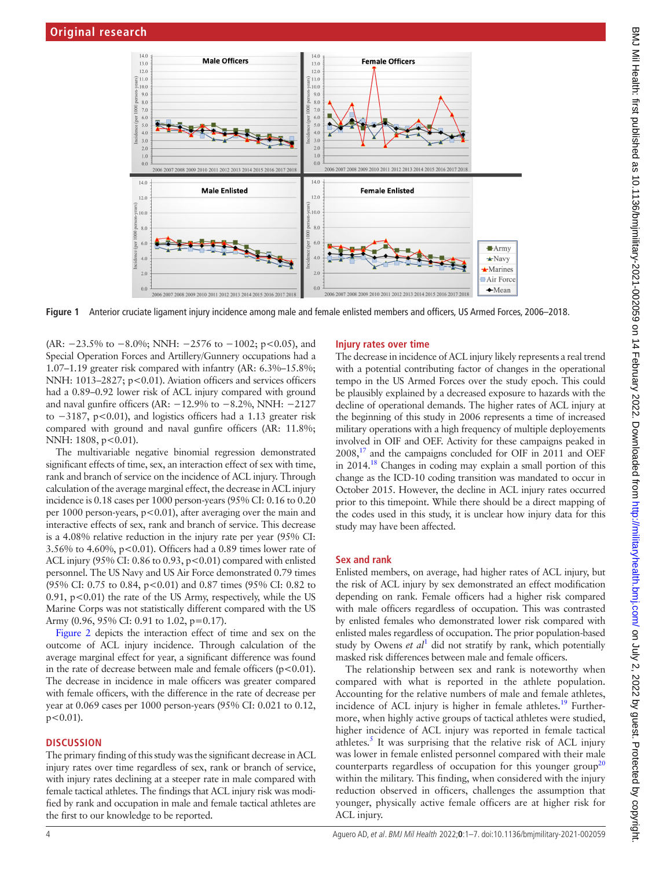

**Figure 1** Anterior cruciate ligament injury incidence among male and female enlisted members and officers, US Armed Forces, 2006–2018.

(AR: −23.5% to −8.0%; NNH: −2576 to −1002; p<0.05), and Special Operation Forces and Artillery/Gunnery occupations had a 1.07–1.19 greater risk compared with infantry (AR: 6.3%–15.8%; NNH: 1013-2827; p<0.01). Aviation officers and services officers had a 0.89–0.92 lower risk of ACL injury compared with ground and naval gunfire officers (AR: −12.9% to −8.2%, NNH: −2127 to −3187, p<0.01), and logistics officers had a 1.13 greater risk compared with ground and naval gunfire officers (AR: 11.8%; NNH: 1808, p<0.01).

The multivariable negative binomial regression demonstrated significant effects of time, sex, an interaction effect of sex with time, rank and branch of service on the incidence of ACL injury. Through calculation of the average marginal effect, the decrease in ACL injury incidence is 0.18 cases per 1000 person-years (95% CI: 0.16 to 0.20 per 1000 person-years, p<0.01), after averaging over the main and interactive effects of sex, rank and branch of service. This decrease is a 4.08% relative reduction in the injury rate per year (95% CI: 3.56% to 4.60%, p<0.01). Officers had a 0.89 times lower rate of ACL injury (95% CI: 0.86 to 0.93, p<0.01) compared with enlisted personnel. The US Navy and US Air Force demonstrated 0.79 times (95% CI: 0.75 to 0.84, p<0.01) and 0.87 times (95% CI: 0.82 to 0.91,  $p<0.01$ ) the rate of the US Army, respectively, while the US Marine Corps was not statistically different compared with the US Army (0.96, 95% CI: 0.91 to 1.02, p=0.17).

[Figure](#page-5-0) 2 depicts the interaction effect of time and sex on the outcome of ACL injury incidence. Through calculation of the average marginal effect for year, a significant difference was found in the rate of decrease between male and female officers  $(p<0.01)$ . The decrease in incidence in male officers was greater compared with female officers, with the difference in the rate of decrease per year at 0.069 cases per 1000 person-years (95% CI: 0.021 to 0.12,  $p < 0.01$ ).

#### **DISCUSSION**

The primary finding of this study was the significant decrease in ACL injury rates over time regardless of sex, rank or branch of service, with injury rates declining at a steeper rate in male compared with female tactical athletes. The findings that ACL injury risk was modified by rank and occupation in male and female tactical athletes are the first to our knowledge to be reported.

#### <span id="page-3-0"></span>**Injury rates over time**

The decrease in incidence of ACL injury likely represents a real trend with a potential contributing factor of changes in the operational tempo in the US Armed Forces over the study epoch. This could be plausibly explained by a decreased exposure to hazards with the decline of operational demands. The higher rates of ACL injury at the beginning of this study in 2006 represents a time of increased military operations with a high frequency of multiple deployements involved in OIF and OEF. Activity for these campaigns peaked in  $2008$ ,<sup>17</sup> and the campaigns concluded for OIF in 2011 and OEF in  $2014<sup>18</sup>$  Changes in coding may explain a small portion of this change as the ICD-10 coding transition was mandated to occur in October 2015. However, the decline in ACL injury rates occurred prior to this timepoint. While there should be a direct mapping of the codes used in this study, it is unclear how injury data for this study may have been affected.

#### **Sex and rank**

Enlisted members, on average, had higher rates of ACL injury, but the risk of ACL injury by sex demonstrated an effect modification depending on rank. Female officers had a higher risk compared with male officers regardless of occupation. This was contrasted by enlisted females who demonstrated lower risk compared with enlisted males regardless of occupation. The prior population-based study by Owens  $et \t al<sup>1</sup>$  $et \t al<sup>1</sup>$  $et \t al<sup>1</sup>$  did not stratify by rank, which potentially masked risk differences between male and female officers.

The relationship between sex and rank is noteworthy when compared with what is reported in the athlete population. Accounting for the relative numbers of male and female athletes, incidence of ACL injury is higher in female athletes.<sup>19</sup> Furthermore, when highly active groups of tactical athletes were studied, higher incidence of ACL injury was reported in female tactical athletes.<sup>[5](#page-6-3)</sup> It was surprising that the relative risk of ACL injury was lower in female enlisted personnel compared with their male counterparts regardless of occupation for this younger group<sup>[20](#page-6-16)</sup> within the military. This finding, when considered with the injury reduction observed in officers, challenges the assumption that younger, physically active female officers are at higher risk for ACL injury.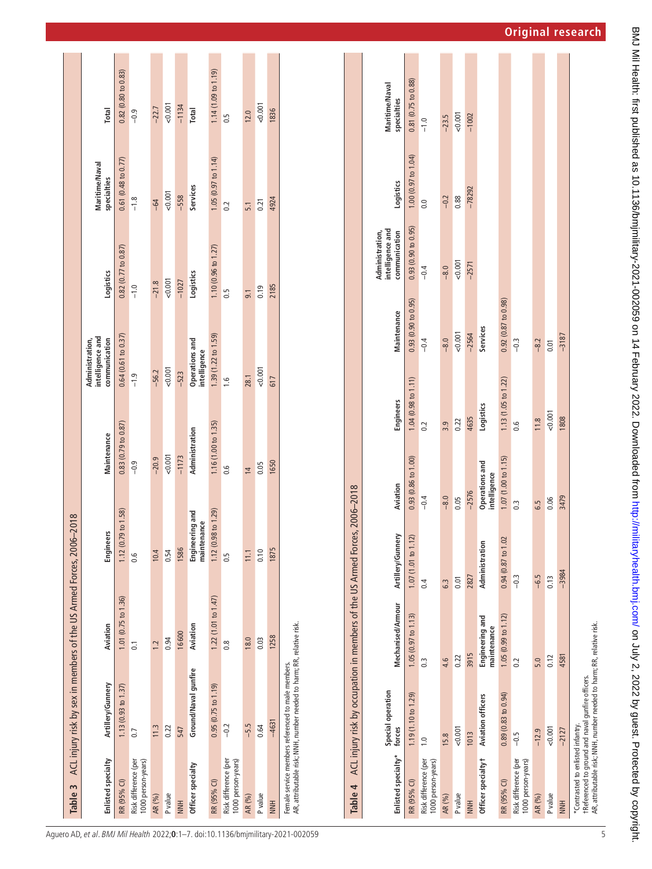| Table 3                                    |                                                                                                                             | ACL injury risk by sex in members of the US Armed Forces, 2006-2018        |                                                                                                                       |                             |                                                      |                                          |                               |                     |
|--------------------------------------------|-----------------------------------------------------------------------------------------------------------------------------|----------------------------------------------------------------------------|-----------------------------------------------------------------------------------------------------------------------|-----------------------------|------------------------------------------------------|------------------------------------------|-------------------------------|---------------------|
| Enlisted specialty                         | Artillery/Gunnery                                                                                                           | Aviation                                                                   | <b>Engineers</b>                                                                                                      | Maintenance                 | intelligence and<br>Administration,<br>communication | Logistics                                | Maritime/Naval<br>specialties | Total               |
| RR (95% CI)                                | $1.13(0.93 \text{ to } 1.37)$                                                                                               | $1.01$ (0.75 to $1.36$ )                                                   | 1.12 (0.79 to 1.58)                                                                                                   | $0.83(0.79\text{ to }0.87)$ | 0.64(0.61 to 0.37)                                   | 0.82(0.77 to 0.87)                       | $0.61$ (0.48 to 0.77)         | 0.82(0.80 to 0.83)  |
| 1000 person-years)<br>Risk difference (per | $\overline{0}$ .                                                                                                            | $\overline{0}$                                                             | 0.6                                                                                                                   | $-0.9$                      | $-1.9$                                               | $-1.0$                                   | $-1.8$                        | $-0.9$              |
| AR (%)                                     | 11.3                                                                                                                        | 1.2                                                                        | 10.4                                                                                                                  | $-20.9$                     | $-56.2$                                              | $-21.8$                                  | $-64$                         | $-22.7$             |
| P value                                    | 0.22                                                                                                                        | 0.94                                                                       | 0.54                                                                                                                  | 0.001                       | 0.001                                                | 0.001                                    | 0.001                         | 0.001               |
| <b>NNH</b>                                 | 547                                                                                                                         | 16600                                                                      | 1586                                                                                                                  | $-1173$                     | $-523$                                               | $-1027$                                  | $-558$                        | $-1134$             |
| Officer specialty                          | Ground/Naval gunfire                                                                                                        | Aviation                                                                   | Engineering and<br>maintenance                                                                                        | Administration              | Operations and<br>intelligence                       | Logistics                                | Services                      | <b>Total</b>        |
| RR (95% CI)                                | $0.95(0.75 \text{ to } 1.19)$                                                                                               | 1.22(1.01 to 1.47)                                                         | 1.12 (0.98 to 1.29)                                                                                                   | 1.16(1.00 to 1.35)          | 1.39 (1.22 to 1.59)                                  | 1.10(0.96 t01.27)                        | 1.05 (0.97 to $1.14$ )        | 1.14 (1.09 to 1.19) |
| Risk difference (per<br>1000 person-years) | $-0.2$                                                                                                                      | $\frac{8}{10}$                                                             | 0.5                                                                                                                   | 0.6                         | $-1.6$                                               | 0.5                                      | 0.2                           | 0.5                 |
| AR (%)                                     | $-5.5$                                                                                                                      | 18.0                                                                       | 11.1                                                                                                                  | $\frac{1}{4}$               | 28.1                                                 | 9.1                                      | 5.1                           | 12.0                |
| P value                                    | 0.64                                                                                                                        | 0.03                                                                       | 0.10                                                                                                                  | 0.05                        | 0.001                                                | 0.19                                     | 0.21                          | 0.001               |
| HNN                                        | $-4631$                                                                                                                     | 1258                                                                       | 1875                                                                                                                  | 1650                        | 617                                                  | 2185                                     | 4924                          | 1836                |
|                                            | AR, attributable risk; NNH, number needed to harm; RR, relative risk.<br>Female service members referenced to male members. |                                                                            |                                                                                                                       |                             |                                                      |                                          |                               |                     |
| Table 4                                    |                                                                                                                             | ACL injury risk by occupation in members of the US Armed Forces, 2006-2018 |                                                                                                                       |                             |                                                      |                                          |                               |                     |
| *…ا:مشمسه الممثلة                          | Special operation<br>fame.                                                                                                  | una alamica di Aumani                                                      | استشمشه المعا<br>ست المستقال المقدمة المقدمة المستقامة المستقامة المستقامة المستقامة المستقامة المستقامة المستقامة ال | Fusing                      | Mointo                                               | intelligence and<br>Administration,<br>j | ومنفعشهما                     | Maritime/Naval      |

| Enlisted specialty* forces                 | Special operation                                                                                                           | <b>Mechanised/Armour</b>       | Artillery/Gunnery       | Aviation                       | Engineers          | Maintenance           | intelligence and<br>communication<br>Administration, | Logistics          | Maritime/Naval<br>specialties |
|--------------------------------------------|-----------------------------------------------------------------------------------------------------------------------------|--------------------------------|-------------------------|--------------------------------|--------------------|-----------------------|------------------------------------------------------|--------------------|-------------------------------|
| RR (95% CI)                                | 1.19(1.10 to 1.29)                                                                                                          | 1.05(0.97 to 1.13)             | 1.07(1.01 to 1.12)      | 0.93(0.86 to 1.00)             | 1.04(0.98 to 1.11) | 0.93(0.90 to 0.95)    | 0.93(0.90 to 0.95)                                   | 1.00(0.97 to 1.04) | $0.81$ (0.75 to 0.88)         |
| Risk difference (per<br>1000 person-years) | $\frac{0}{1}$                                                                                                               | $0.\overline{3}$               | 0.4                     | $-0.4$                         | 0.2                | $-0.4$                | $-0.4$                                               | 0.0                | $-1.0$                        |
| AR (%)                                     | 15.8                                                                                                                        | 4.6                            | 63                      | $-8.0$                         | 3.9                | $-8.0$                | $-8.0$                                               | $-0.2$             | $-23.5$                       |
| P value                                    | 50.001                                                                                                                      | 0.22                           | 0.01                    | 0.05                           | 0.22               | 0.001                 | 0.001                                                | 0.88               | 0.001                         |
| HNN                                        | 1013                                                                                                                        | 3915                           | 2827                    | $-2576$                        | 4635               | $-2564$               | $-2571$                                              | $-78292$           | $-1002$                       |
| Officer specialtyt                         | <b>Aviation officers</b>                                                                                                    | Engineering and<br>maintenance | Administration          | Operations and<br>intelligence | Logistics          | Services              |                                                      |                    |                               |
| RR (95% CI)                                | $0.89(0.83)$ to $0.94$ )                                                                                                    | 1.05(0.99 to 1.12)             | 02<br>$0.94(0.87)$ to 1 | 1.07(1.00 to 1.15)             | 1.13(1.05 to 1.22) | $0.92$ (0.87 to 0.98) |                                                      |                    |                               |
| Risk difference (per<br>1000 person-years) | $-0.5$                                                                                                                      | 0.2                            | $-0.3$                  | $\frac{3}{2}$                  | 9.6                | $-0.3$                |                                                      |                    |                               |
| AR (%)                                     | $-12.9$                                                                                                                     | 5.0                            | $-6.5$                  | 6.5                            | 11.8               | $-8.2$                |                                                      |                    |                               |
| P value                                    | 0.001                                                                                                                       | 0.12                           | 0.13                    | 0.06                           | 0.001              | 0.01                  |                                                      |                    |                               |
| HNH                                        | $-2127$                                                                                                                     | 4581                           | $-3984$                 | 3479                           | 1808               | $-3187$               |                                                      |                    |                               |
| *Contrasted to enlisted infantry.          | AR, attributable risk; NNH, number needed to harm; RR, relative risk.<br>t Referenced to ground and naval gunfire officers. |                                |                         |                                |                    |                       |                                                      |                    |                               |

**College** 

**College** 

<span id="page-4-1"></span><span id="page-4-0"></span> $\overline{5}$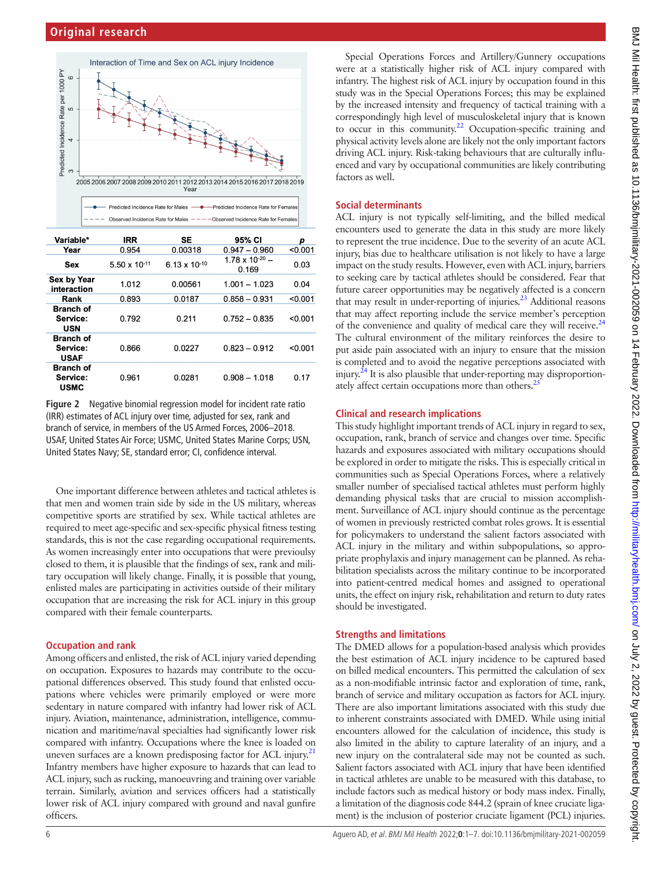

| Variable*                                   | <b>IRR</b>             | SE                              | 95% CI                            | р       |
|---------------------------------------------|------------------------|---------------------------------|-----------------------------------|---------|
| Year                                        | 0.954                  | 0.00318                         | $0.947 - 0.960$                   | < 0.001 |
| Sex                                         | $5.50 \times 10^{-11}$ | 6.13 $\times$ 10 <sup>-10</sup> | $1.78 \times 10^{-20}$ –<br>0.169 | 0.03    |
| <b>Sex by Year</b><br>interaction           | 1.012                  | 0.00561                         | $1.001 - 1.023$                   | 0.04    |
| Rank                                        | 0.893                  | 0.0187                          | $0.858 - 0.931$                   | < 0.001 |
| <b>Branch of</b><br>Service:<br><b>USN</b>  | 0.792                  | 0.211                           | $0.752 - 0.835$                   | < 0.001 |
| <b>Branch of</b><br>Service:<br><b>USAF</b> | 0.866                  | 0.0227                          | $0.823 - 0.912$                   | < 0.001 |
| <b>Branch of</b><br>Service:<br>пемс        | 0.961                  | 0.0281                          | $0.908 - 1.018$                   | 0.17    |

<span id="page-5-0"></span>**Figure 2** Negative binomial regression model for incident rate ratio (IRR) estimates of ACL injury over time, adjusted for sex, rank and branch of service, in members of the US Armed Forces, 2006–2018. USAF, United States Air Force; USMC, United States Marine Corps; USN, United States Navy; SE, standard error; CI, confidence interval.

One important difference between athletes and tactical athletes is that men and women train side by side in the US military, whereas competitive sports are stratified by sex. While tactical athletes are required to meet age-specific and sex-specific physical fitness testing standards, this is not the case regarding occupational requirements. As women increasingly enter into occupations that were previoulsy closed to them, it is plausible that the findings of sex, rank and military occupation will likely change. Finally, it is possible that young, enlisted males are participating in activities outside of their military occupation that are increasing the risk for ACL injury in this group compared with their female counterparts.

## **Occupation and rank**

Among officers and enlisted, the risk of ACL injury varied depending on occupation. Exposures to hazards may contribute to the occupational differences observed. This study found that enlisted occupations where vehicles were primarily employed or were more sedentary in nature compared with infantry had lower risk of ACL injury. Aviation, maintenance, administration, intelligence, communication and maritime/naval specialties had significantly lower risk compared with infantry. Occupations where the knee is loaded on uneven surfaces are a known predisposing factor for ACL injury. $21$ Infantry members have higher exposure to hazards that can lead to ACL injury, such as rucking, manoeuvring and training over variable terrain. Similarly, aviation and services officers had a statistically lower risk of ACL injury compared with ground and naval gunfire officers.

Special Operations Forces and Artillery/Gunnery occupations were at a statistically higher risk of ACL injury compared with infantry. The highest risk of ACL injury by occupation found in this study was in the Special Operations Forces; this may be explained by the increased intensity and frequency of tactical training with a correspondingly high level of musculoskeletal injury that is known to occur in this community.<sup>22</sup> Occupation-specific training and physical activity levels alone are likely not the only important factors driving ACL injury. Risk-taking behaviours that are culturally influenced and vary by occupational communities are likely contributing factors as well.

#### **Social determinants**

ACL injury is not typically self-limiting, and the billed medical encounters used to generate the data in this study are more likely to represent the true incidence. Due to the severity of an acute ACL injury, bias due to healthcare utilisation is not likely to have a large impact on the study results. However, even with ACL injury, barriers to seeking care by tactical athletes should be considered. Fear that future career opportunities may be negatively affected is a concern that may result in under-reporting of injuries. $^{23}$  Additional reasons that may affect reporting include the service member's perception of the convenience and quality of medical care they will receive.<sup>24</sup> The cultural environment of the military reinforces the desire to put aside pain associated with an injury to ensure that the mission is completed and to avoid the negative perceptions associated with injury.<sup>24</sup> It is also plausible that under-reporting may disproportionately affect certain occupations more than others. $^{25}$ 

## **Clinical and research implications**

This study highlight important trends of ACL injury in regard to sex, occupation, rank, branch of service and changes over time. Specific hazards and exposures associated with military occupations should be explored in order to mitigate the risks. This is especially critical in communities such as Special Operations Forces, where a relatively smaller number of specialised tactical athletes must perform highly demanding physical tasks that are crucial to mission accomplishment. Surveillance of ACL injury should continue as the percentage of women in previously restricted combat roles grows. It is essential for policymakers to understand the salient factors associated with ACL injury in the military and within subpopulations, so appropriate prophylaxis and injury management can be planned. As rehabilitation specialists across the military continue to be incorporated into patient-centred medical homes and assigned to operational units, the effect on injury risk, rehabilitation and return to duty rates should be investigated.

## **Strengths and limitations**

The DMED allows for a population-based analysis which provides the best estimation of ACL injury incidence to be captured based on billed medical encounters. This permitted the calculation of sex as a non-modifiable intrinsic factor and exploration of time, rank, branch of service and military occupation as factors for ACL injury. There are also important limitations associated with this study due to inherent constraints associated with DMED. While using initial encounters allowed for the calculation of incidence, this study is also limited in the ability to capture laterality of an injury, and a new injury on the contralateral side may not be counted as such. Salient factors associated with ACL injury that have been identified in tactical athletes are unable to be measured with this database, to include factors such as medical history or body mass index. Finally, a limitation of the diagnosis code 844.2 (sprain of knee cruciate ligament) is the inclusion of posterior cruciate ligament (PCL) injuries.